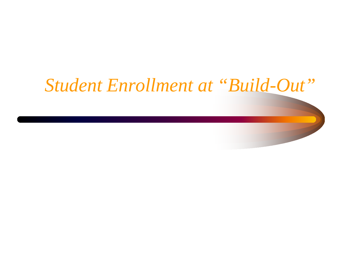#### *Student Enrollment at "Build-Out"*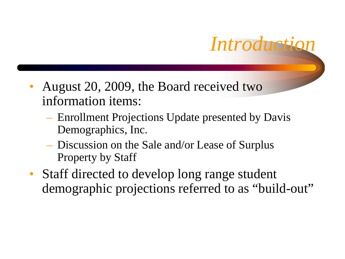

- August 20, 2009, the Board received two information items:
	- Enrollment Projections Update presented by Davis Demographics, Inc.
	- Discussion on the Sale and/or Lease of Surplus Property by Staff
- Staff directed to develop long range student demographic projections referred to as "build-out"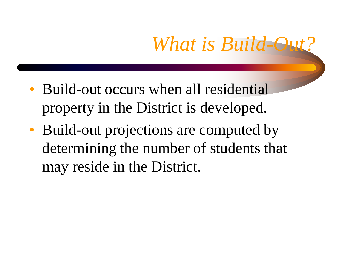# *What is Build-Out*

- Build-out occurs when all residential property in the District is developed.
- Build-out projections are computed by determining the number of students that may reside in the District.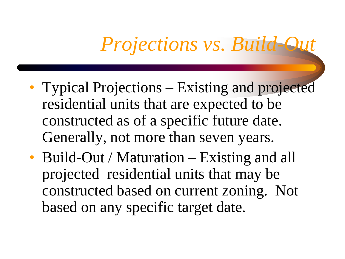## *Projections vs. Build-Out*

- Typical Projections Existing and projected residential units that are expected to be constructed as of a specific future date. Generally, not more than seven years.
- Build-Out / Maturation Existing and all projected residential units that may be constructed based on current zoning. Not based on any specific target date.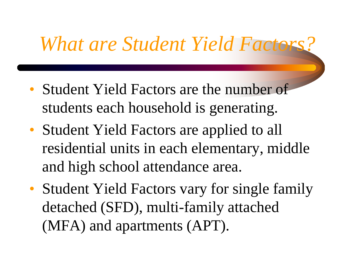#### *What are Student Yield Factors?*

- Student Yield Factors are the number of students each household is generating.
- Student Yield Factors are applied to all residential units in each elementary, middle and high school attendance area.
- Student Yield Factors vary for single family detached (SFD), multi-family attached (MFA) and apartments (APT).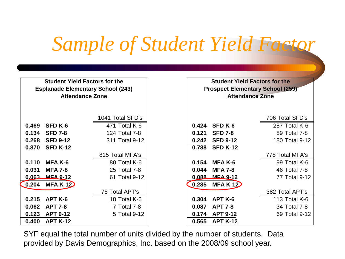# *Sample of Student Yield Factor*

| <b>Student Yield Factors for the</b><br><b>Esplanade Elementary School (243)</b><br><b>Attendance Zone</b> |                 |                  |       | <b>Student Yield Factors for the</b><br><b>Prospect Elementary School (259)</b><br><b>Attendance Zone</b> |                 |
|------------------------------------------------------------------------------------------------------------|-----------------|------------------|-------|-----------------------------------------------------------------------------------------------------------|-----------------|
|                                                                                                            |                 | 1041 Total SFD's |       |                                                                                                           | 706 Total SFD's |
| 0.469                                                                                                      | SFD K-6         | 471 Total K-6    | 0.424 | SFD K-6                                                                                                   | 287 Total K-6   |
| 0.134                                                                                                      | <b>SFD 7-8</b>  | 124 Total 7-8    | 0.121 | <b>SFD 7-8</b>                                                                                            | 89 Total 7-8    |
| 0.268                                                                                                      | <b>SFD 9-12</b> | 311 Total 9-12   | 0.242 | <b>SFD 9-12</b>                                                                                           | 180 Total 9-12  |
| 0.870                                                                                                      | <b>SFD K-12</b> |                  | 0.788 | <b>SFD K-12</b>                                                                                           |                 |
|                                                                                                            |                 | 815 Total MFA's  |       |                                                                                                           | 778 Total MFA's |
| 0.110                                                                                                      | MFA K-6         | 80 Total K-6     | 0.154 | MFA K-6                                                                                                   | 99 Total K-6    |
| 0.031                                                                                                      | <b>MFA 7-8</b>  | 25 Total 7-8     | 0.044 | <b>MFA 7-8</b>                                                                                            | 46 Total 7-8    |
| $0.063 -$                                                                                                  | <b>MEA 9-12</b> | 61 Total 9-12    | 0.088 | <b>MEA 9-12</b>                                                                                           | 77 Total 9-12   |
| 0.204                                                                                                      | $MFA K-12$      |                  | 0.285 | <b>MFA K-12</b>                                                                                           |                 |
|                                                                                                            |                 | 75 Total APT's   |       |                                                                                                           | 382 Total APT's |
| 0.215                                                                                                      | APT K-6         | 18 Total K-6     | 0.304 | APT K-6                                                                                                   | 113 Total K-6   |
| 0.062                                                                                                      | <b>APT 7-8</b>  | 7 Total 7-8      | 0.087 | <b>APT 7-8</b>                                                                                            | 34 Total 7-8    |
| 0.123                                                                                                      | <b>APT 9-12</b> | 5 Total 9-12     | 0.174 | <b>APT 9-12</b>                                                                                           | 69 Total 9-12   |
| 0.400                                                                                                      | <b>APT K-12</b> |                  | 0.565 | <b>APT K-12</b>                                                                                           |                 |

SYF equal the total number of units divided by the number of students. Data provided by Davis Demographics, Inc. based on the 2008/09 school year.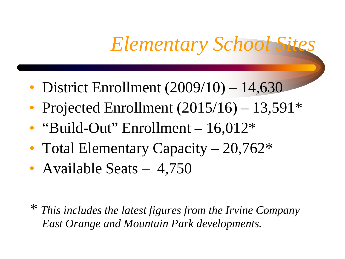### *Elementary School Sites*

- District Enrollment (2009/10) 14,630
- Projected Enrollment  $(2015/16) 13,591*$
- "Build-Out" Enrollment 16,012\*
- Total Elementary Capacity 20,762<sup>\*</sup>
- Available Seats 4,750

*\* This includes the latest figures from the Irvine Company East Orange and Mountain Park developments.*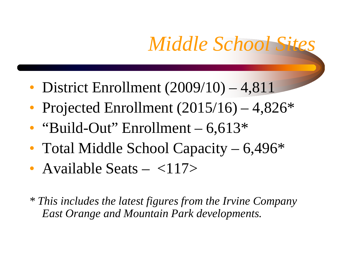# *Middle School Sites*

- District Enrollment (2009/10) 4,811
- Projected Enrollment  $(2015/16) 4,826*$
- "Build-Out" Enrollment  $-6,613*$
- Total Middle School Capacity 6,496<sup>\*</sup>
- Available Seats  $-$  <117>

*\* This includes the latest figures from the Irvine Company East Orange and Mountain Park developments.*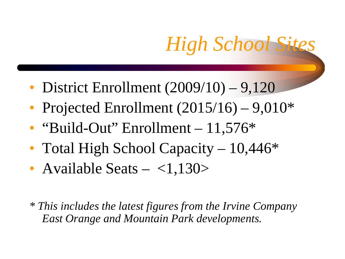# *High School Sites*

- District Enrollment  $(2009/10) 9,120$
- Projected Enrollment  $(2015/16) 9,010*$
- "Build-Out" Enrollment  $-11,576*$
- Total High School Capacity 10,446<sup>\*</sup>
- Available Seats  $-$  <1,130>

*\* This includes the latest figures from the Irvine Company East Orange and Mountain Park developments.*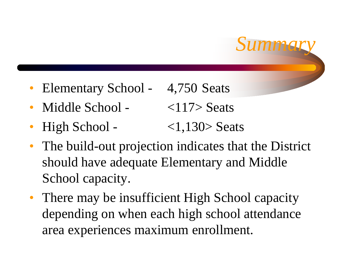- Elementary School 4,750 Seats
- Middle School  $\langle 117 \rangle$  Seats
- $\text{High School} \text{1,130} > \text{Seats}$
- The build-out projection indicates that the District should have adequate Elementary and Middle School capacity.

*Summary*

• There may be insufficient High School capacity depending on when each high school attendance area experiences maximum enrollment.